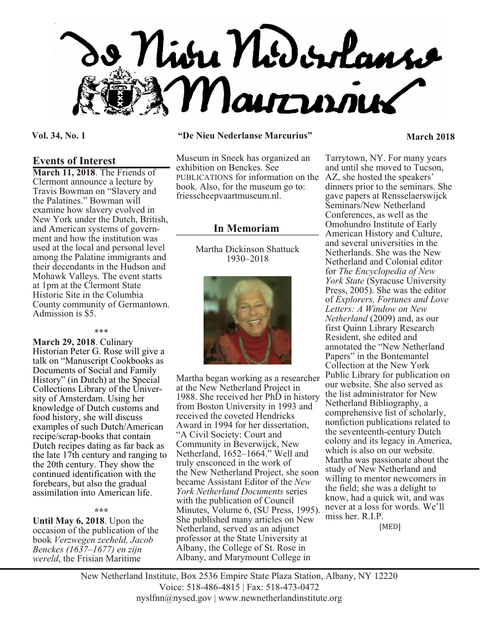

## **Events of Interest**

**March 11, 2018**. The Friends of Clermont announce a lecture by Travis Bowman on "Slavery and the Palatines." Bowman will examine how slavery evolved in New York under the Dutch, British, and American systems of government and how the institution was used at the local and personal level among the Palatine immigrants and their decendants in the Hudson and Mohawk Valleys. The event starts at 1pm at the Clermont State Historic Site in the Columbia County community of Germantown. Admission is \$5.

#### \*\*\*

**March 29, 2018**. Culinary Historian Peter G. Rose will give a talk on "Manuscript Cookbooks as Documents of Social and Family History" (in Dutch) at the Special Collections Library of the University of Amsterdam. Using her knowledge of Dutch customs and food history, she will discuss examples of such Dutch/American recipe/scrap-books that contain Dutch recipes dating as far back as the late 17th century and ranging to the 20th century. They show the continued identification with the forebears, but also the gradual assimilation into American life.

#### **\*\*\***

**Until May 6, 2018**. Upon the occasion of the publication of the book *Verzwegen zeeheld, Jacob Benckes (1637–1677) en zijn wereld*, the Frisian Maritime

### **Vol. 34, No. 1 "De Nieu Nederlanse Marcurius" March 2018**

Museum in Sneek has organized an exhibition on Benckes. See PUBLICATIONS for information on the book. Also, for the museum go to: friesscheepvaartmuseum.nl.

# **In Memoriam**

Martha Dickinson Shattuck 1930–2018



Martha began working as a researcher at the New Netherland Project in 1988. She received her PhD in history from Boston University in 1993 and received the coveted Hendricks Award in 1994 for her dissertation, "A Civil Society: Court and Community in Beverwijck, New Netherland, 1652–1664." Well and truly ensconced in the work of the New Netherland Project, she soon became Assistant Editor of the *New York Netherland Documents* series with the publication of Council Minutes, Volume 6, (SU Press, 1995). She published many articles on New Netherland, served as an adjunct professor at the State University at Albany, the College of St. Rose in Albany, and Marymount College in

Tarrytown, NY. For many years and until she moved to Tucson, AZ, she hosted the speakers' dinners prior to the seminars. She gave papers at Rensselaerswijck Seminars/New Netherland Conferences, as well as the Omohundro Institute of Early American History and Culture, and several universities in the Netherlands. She was the New Netherland and Colonial editor for *The Encyclopedia of New York State* (Syracuse University Press, 2005). She was the editor of *Explorers, Fortunes and Love Letters: A Window on New Netherland* (2009) and, as our first Quinn Library Research Resident, she edited and annotated the "New Netherland Papers" in the Bontemantel Collection at the New York Public Library for publication on our website. She also served as the list administrator for New Netherland Bibliography, a comprehensive list of scholarly, nonfiction publications related to the seventeenth-century Dutch colony and its legacy in America, which is also on our website. Martha was passionate about the study of New Netherland and willing to mentor newcomers in the field; she was a delight to know, had a quick wit, and was never at a loss for words. We'll miss her. R.I.P.

[MED]

New Netherland Institute, Box 2536 Empire State Plaza Station, Albany, NY 12220 Voice: 518-486-4815 | Fax: 518-473-0472 nyslfnn@nysed.gov | www.newnetherlandinstitute.org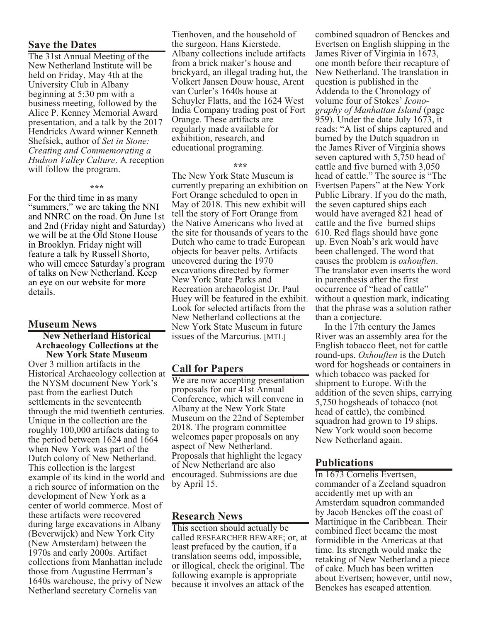# **Save the Dates**

The 31st Annual Meeting of the New Netherland Institute will be held on Friday, May 4th at the University Club in Albany beginning at 5:30 pm with a business meeting, followed by the Alice P. Kenney Memorial Award presentation, and a talk by the 2017 Hendricks Award winner Kenneth Shefsiek, author of *Set in Stone: Creating and Commemorating a Hudson Valley Culture*. A reception will follow the program.

#### **\*\*\***

For the third time in as many "summers," we are taking the NNI and NNRC on the road. On June 1st and 2nd (Friday night and Saturday) we will be at the Old Stone House in Brooklyn. Friday night will feature a talk by Russell Shorto, who will emcee Saturday's program of talks on New Netherland. Keep an eye on our website for more details.

## **Museum News**

#### **New Netherland Historical Archaeology Collections at the New York State Museum**

Over 3 million artifacts in the Historical Archaeology collection at the NYSM document New York's past from the earliest Dutch settlements in the seventeenth through the mid twentieth centuries. Unique in the collection are the roughly 100,000 artifacts dating to the period between 1624 and 1664 when New York was part of the Dutch colony of New Netherland. This collection is the largest example of its kind in the world and a rich source of information on the development of New York as a center of world commerce. Most of these artifacts were recovered during large excavations in Albany (Beverwijck) and New York City (New Amsterdam) between the 1970s and early 2000s. Artifact collections from Manhattan include those from Augustine Herrman's 1640s warehouse, the privy of New Netherland secretary Cornelis van

Tienhoven, and the household of the surgeon, Hans Kierstede. Albany collections include artifacts from a brick maker's house and brickyard, an illegal trading hut, the Volkert Jansen Douw house, Arent van Curler's 1640s house at Schuyler Flatts, and the 1624 West India Company trading post of Fort Orange. These artifacts are regularly made available for exhibition, research, and educational programing.

#### **\*\*\***

The New York State Museum is currently preparing an exhibition on Fort Orange scheduled to open in May of 2018. This new exhibit will tell the story of Fort Orange from the Native Americans who lived at the site for thousands of years to the Dutch who came to trade European objects for beaver pelts. Artifacts uncovered during the 1970 excavations directed by former New York State Parks and Recreation archaeologist Dr. Paul Huey will be featured in the exhibit. Look for selected artifacts from the New Netherland collections at the New York State Museum in future issues of the Marcurius. [MTL]

# **Call for Papers**

We are now accepting presentation proposals for our 41st Annual Conference, which will convene in Albany at the New York State Museum on the 22nd of September 2018. The program committee welcomes paper proposals on any aspect of New Netherland. Proposals that highlight the legacy of New Netherland are also encouraged. Submissions are due by April 15.

# **Research News**

This section should actually be called RESEARCHER BEWARE; or, at least prefaced by the caution, if a translation seems odd, impossible, or illogical, check the original. The following example is appropriate because it involves an attack of the

combined squadron of Benckes and Evertsen on English shipping in the James River of Virginia in 1673, one month before their recapture of New Netherland. The translation in question is published in the Addenda to the Chronology of volume four of Stokes' *Iconography of Manhattan Island* (page 959). Under the date July 1673, it reads: "A list of ships captured and burned by the Dutch squadron in the James River of Virginia shows seven captured with 5,750 head of cattle and five burned with 3,050 head of cattle." The source is "The Evertsen Papers" at the New York Public Library. If you do the math, the seven captured ships each would have averaged 821 head of cattle and the five burned ships 610. Red flags should have gone up. Even Noah's ark would have been challenged. The word that causes the problem is *oxhouften*. The translator even inserts the word in parenthesis after the first occurrence of "head of cattle" without a question mark, indicating that the phrase was a solution rather than a conjecture.

 In the 17th century the James River was an assembly area for the English tobacco fleet, not for cattle round-ups. *Oxhouften* is the Dutch word for hogsheads or containers in which tobacco was packed for shipment to Europe. With the addition of the seven ships, carrying 5,750 hogsheads of tobacco (not head of cattle), the combined squadron had grown to 19 ships. New York would soon become New Netherland again.

# **Publications**

In 1673 Cornelis Evertsen, commander of a Zeeland squadron accidently met up with an Amsterdam squadron commanded by Jacob Benckes off the coast of Martinique in the Caribbean. Their combined fleet became the most formidible in the Americas at that time. Its strength would make the retaking of New Netherland a piece of cake. Much has been written about Evertsen; however, until now, Benckes has escaped attention.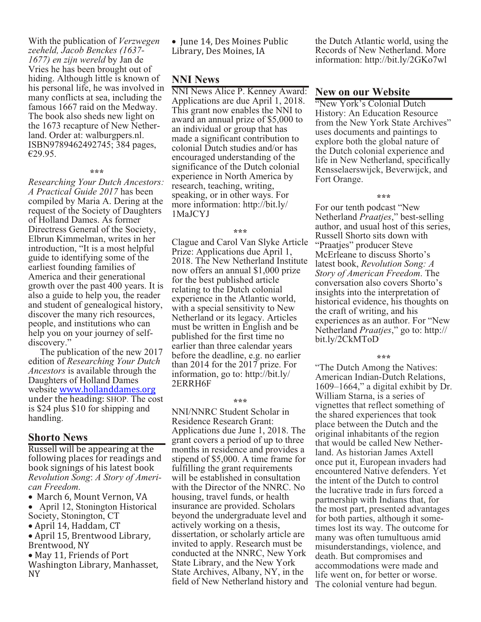With the publication of *Verzwegen zeeheld, Jacob Benckes (1637- 1677) en zijn wereld* by Jan de Vries he has been brought out of hiding. Although little is known of his personal life, he was involved in many conflicts at sea, including the famous 1667 raid on the Medway. The book also sheds new light on the 1673 recapture of New Netherland. Order at: walburgpers.nl. ISBN9789462492745; 384 pages, €29.95.

#### **\*\*\***

*Researching Your Dutch Ancestors: A Practical Guide 2017* has been compiled by Maria A. Dering at the request of the Society of Daughters of Holland Dames. As former Directress General of the Society, Elbrun Kimmelman, writes in her introduction, "It is a most helpful guide to identifying some of the earliest founding families of America and their generational growth over the past 400 years. It is also a guide to help you, the reader and student of genealogical history, discover the many rich resources, people, and institutions who can help you on your journey of selfdiscovery."

 The publication of the new 2017 edition of *Researching Your Dutch Ancestors* is available through the Daughters of Holland Dames website [www.hollanddames.org](http://www.hollanddames.org) under the heading: SHOP. The cost is \$24 plus \$10 for shipping and handling.

# **Shorto News**

Russell will be appearing at the following places for readings and book signings of his latest book *Revolution Song*: *A Story of American Freedom*.

 March 6, Mount Vernon, VA April 12, Stonington Historical Society, Stonington, CT

April 14, Haddam, CT

 April 15, Brentwood Library, Brentwood, NY

 May 11, Friends of Port Washington Library, Manhasset, NY

 June 14, Des Moines Public Library, Des Moines, IA

# **NNI News**

NNI News Alice P. Kenney Award: Applications are due April 1, 2018. This grant now enables the NNI to award an annual prize of \$5,000 to an individual or group that has made a significant contribution to colonial Dutch studies and/or has encouraged understanding of the significance of the Dutch colonial experience in North America by research, teaching, writing, speaking, or in other ways. For more information: http://bit.ly/ 1MaJCYJ

#### **\*\*\***

Clague and Carol Van Slyke Article Prize: Applications due April 1, 2018. The New Netherland Institute now offers an annual \$1,000 prize for the best published article relating to the Dutch colonial experience in the Atlantic world, with a special sensitivity to New Netherland or its legacy. Articles must be written in English and be published for the first time no earlier than three calendar years before the deadline, e.g. no earlier than 2014 for the 2017 prize. For information, go to: http://bit.ly/ 2ERRH6F

#### **\*\*\***

NNI/NNRC Student Scholar in Residence Research Grant: Applications due June 1, 2018. The grant covers a period of up to three months in residence and provides a stipend of \$5,000. A time frame for fulfilling the grant requirements will be established in consultation with the Director of the NNRC. No housing, travel funds, or health insurance are provided. Scholars beyond the undergraduate level and actively working on a thesis, dissertation, or scholarly article are invited to apply. Research must be conducted at the NNRC, New York State Library, and the New York State Archives, Albany, NY, in the field of New Netherland history and the Dutch Atlantic world, using the Records of New Netherland. More information: http://bit.ly/2GKo7wl

# **New on our Website**

"New York's Colonial Dutch History: An Education Resource from the New York State Archives" uses documents and paintings to explore both the global nature of the Dutch colonial experience and life in New Netherland, specifically Rensselaerswijck, Beverwijck, and Fort Orange.

#### **\*\*\***

For our tenth podcast "New Netherland *Praatjes*," best-selling author, and usual host of this series, Russell Shorto sits down with "Praatjes" producer Steve McErleane to discuss Shorto's latest book, *Revolution Song: A Story of American Freedom*. The conversation also covers Shorto's insights into the interpretation of historical evidence, his thoughts on the craft of writing, and his experiences as an author. For "New Netherland *Praatjes*," go to: http:// bit.ly/2CkMToD

#### **\*\*\***

"The Dutch Among the Natives: American Indian-Dutch Relations, 1609–1664," a digital exhibit by Dr. William Starna, is a series of vignettes that reflect something of the shared experiences that took place between the Dutch and the original inhabitants of the region that would be called New Netherland. As historian James Axtell once put it, European invaders had encountered Native defenders. Yet the intent of the Dutch to control the lucrative trade in furs forced a partnership with Indians that, for the most part, presented advantages for both parties, although it sometimes lost its way. The outcome for many was often tumultuous amid misunderstandings, violence, and death. But compromises and accommodations were made and life went on, for better or worse. The colonial venture had begun.